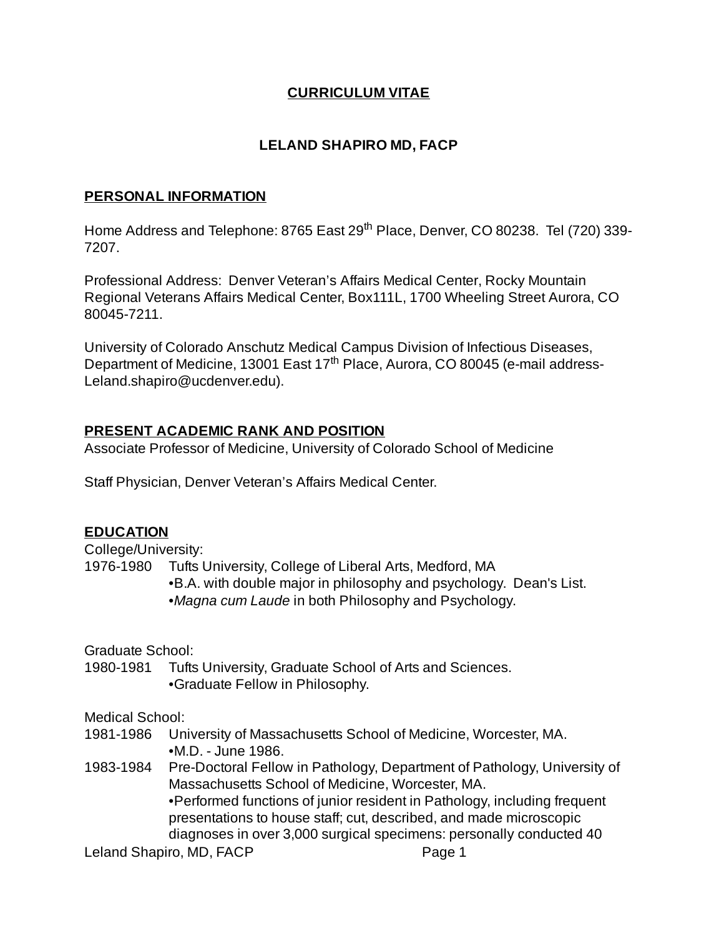## **CURRICULUM VITAE**

## **LELAND SHAPIRO MD, FACP**

#### **PERSONAL INFORMATION**

Home Address and Telephone: 8765 East 29<sup>th</sup> Place, Denver, CO 80238. Tel (720) 339-7207.

Professional Address: Denver Veteran's Affairs Medical Center, Rocky Mountain Regional Veterans Affairs Medical Center, Box111L, 1700 Wheeling Street Aurora, CO 80045-7211.

University of Colorado Anschutz Medical Campus Division of Infectious Diseases, Department of Medicine, 13001 East 17<sup>th</sup> Place, Aurora, CO 80045 (e-mail address-Leland.shapiro@ucdenver.edu).

### **PRESENT ACADEMIC RANK AND POSITION**

Associate Professor of Medicine, University of Colorado School of Medicine

Staff Physician, Denver Veteran's Affairs Medical Center.

### **EDUCATION**

College/University:

1976-1980 Tufts University, College of Liberal Arts, Medford, MA

- •B.A. with double major in philosophy and psychology. Dean's List.
- •*Magna cum Laude* in both Philosophy and Psychology.

Graduate School:

1980-1981 Tufts University, Graduate School of Arts and Sciences. •Graduate Fellow in Philosophy.

Medical School:

- 1981-1986 University of Massachusetts School of Medicine, Worcester, MA. •M.D. - June 1986.
- 1983-1984 Pre-Doctoral Fellow in Pathology, Department of Pathology, University of Massachusetts School of Medicine, Worcester, MA. •Performed functions of junior resident in Pathology, including frequent presentations to house staff; cut, described, and made microscopic diagnoses in over 3,000 surgical specimens: personally conducted 40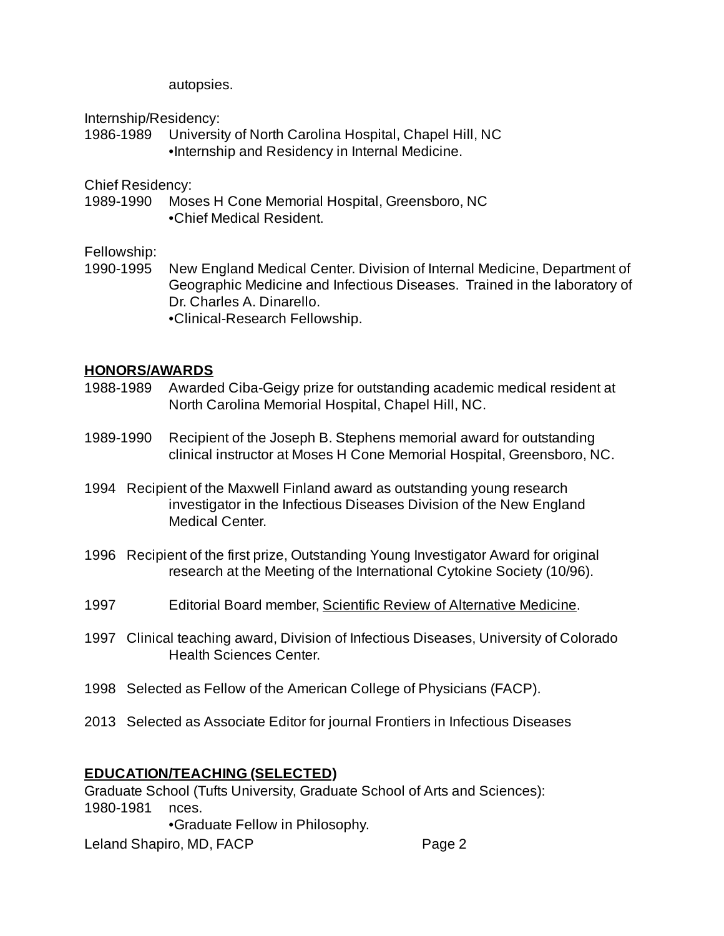autopsies.

Internship/Residency:

1986-1989 University of North Carolina Hospital, Chapel Hill, NC •Internship and Residency in Internal Medicine.

Chief Residency:

1989-1990 Moses H Cone Memorial Hospital, Greensboro, NC •Chief Medical Resident.

Fellowship:

1990-1995 New England Medical Center. Division of Internal Medicine, Department of Geographic Medicine and Infectious Diseases. Trained in the laboratory of Dr. Charles A. Dinarello. •Clinical-Research Fellowship.

#### **HONORS/AWARDS**

- 1988-1989 Awarded Ciba-Geigy prize for outstanding academic medical resident at North Carolina Memorial Hospital, Chapel Hill, NC.
- 1989-1990 Recipient of the Joseph B. Stephens memorial award for outstanding clinical instructor at Moses H Cone Memorial Hospital, Greensboro, NC.
- 1994 Recipient of the Maxwell Finland award as outstanding young research investigator in the Infectious Diseases Division of the New England Medical Center.
- 1996 Recipient of the first prize, Outstanding Young Investigator Award for original research at the Meeting of the International Cytokine Society (10/96).
- 1997 Editorial Board member, Scientific Review of Alternative Medicine.
- 1997 Clinical teaching award, Division of Infectious Diseases, University of Colorado Health Sciences Center.
- 1998 Selected as Fellow of the American College of Physicians (FACP).
- 2013 Selected as Associate Editor for journal Frontiers in Infectious Diseases

### **EDUCATION/TEACHING (SELECTED)**

Graduate School (Tufts University, Graduate School of Arts and Sciences): 1980-1981 nces.

•Graduate Fellow in Philosophy.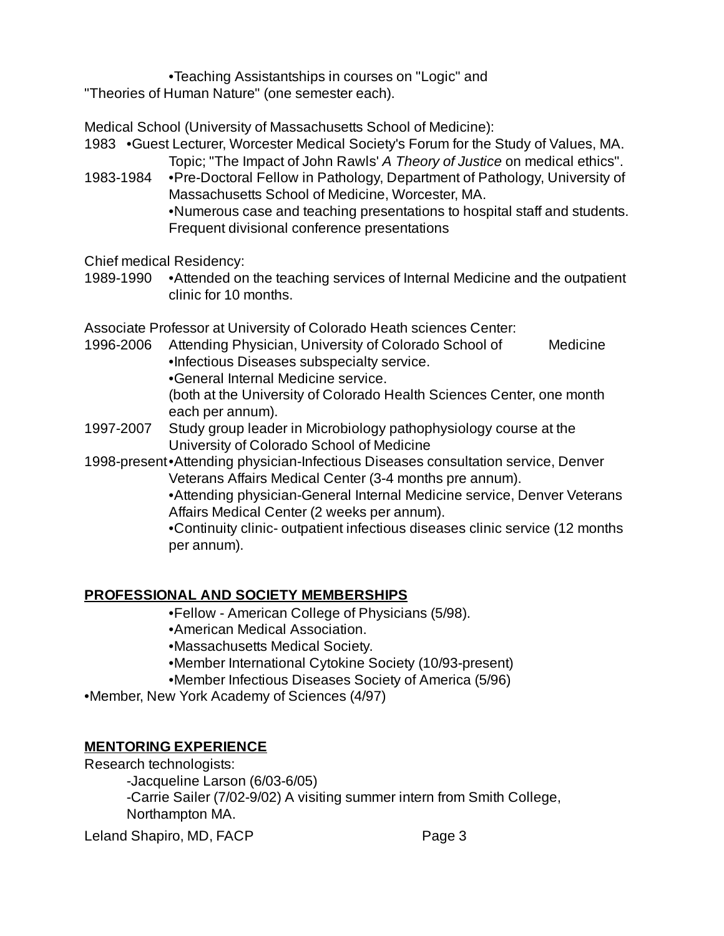•Teaching Assistantships in courses on "Logic" and

"Theories of Human Nature" (one semester each).

Medical School (University of Massachusetts School of Medicine):

1983 •Guest Lecturer, Worcester Medical Society's Forum for the Study of Values, MA. Topic; "The Impact of John Rawls' *A Theory of Justice* on medical ethics".

1983-1984 •Pre-Doctoral Fellow in Pathology, Department of Pathology, University of Massachusetts School of Medicine, Worcester, MA. •Numerous case and teaching presentations to hospital staff and students. Frequent divisional conference presentations

Chief medical Residency:

1989-1990 •Attended on the teaching services of Internal Medicine and the outpatient clinic for 10 months.

Associate Professor at University of Colorado Heath sciences Center:

- 1996-2006 Attending Physician, University of Colorado School of Medicine •Infectious Diseases subspecialty service.
	- •General Internal Medicine service.

(both at the University of Colorado Health Sciences Center, one month each per annum).

- 1997-2007 Study group leader in Microbiology pathophysiology course at the University of Colorado School of Medicine
- 1998-present•Attending physician-Infectious Diseases consultation service, Denver Veterans Affairs Medical Center (3-4 months pre annum).

•Attending physician-General Internal Medicine service, Denver Veterans Affairs Medical Center (2 weeks per annum).

•Continuity clinic- outpatient infectious diseases clinic service (12 months per annum).

# **PROFESSIONAL AND SOCIETY MEMBERSHIPS**

•Fellow - American College of Physicians (5/98).

- •American Medical Association.
- •Massachusetts Medical Society.
- •Member International Cytokine Society (10/93-present)
- •Member Infectious Diseases Society of America (5/96)
- •Member, New York Academy of Sciences (4/97)

# **MENTORING EXPERIENCE**

Research technologists:

-Jacqueline Larson (6/03-6/05) -Carrie Sailer (7/02-9/02) A visiting summer intern from Smith College, Northampton MA.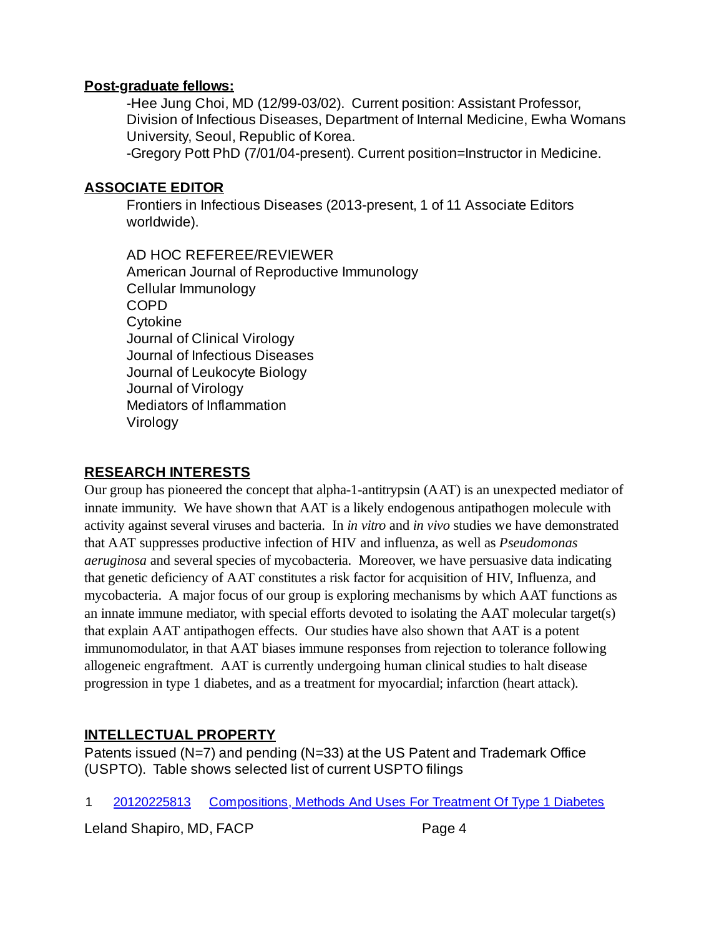### **Post-graduate fellows:**

-Hee Jung Choi, MD (12/99-03/02). Current position: Assistant Professor, Division of Infectious Diseases, Department of Internal Medicine, Ewha Womans University, Seoul, Republic of Korea.

-Gregory Pott PhD (7/01/04-present). Current position=Instructor in Medicine.

## **ASSOCIATE EDITOR**

Frontiers in Infectious Diseases (2013-present, 1 of 11 Associate Editors worldwide).

AD HOC REFEREE/REVIEWER American Journal of Reproductive Immunology Cellular Immunology COPD Cytokine Journal of Clinical Virology Journal of Infectious Diseases Journal of Leukocyte Biology Journal of Virology Mediators of Inflammation Virology

## **RESEARCH INTERESTS**

Our group has pioneered the concept that alpha-1-antitrypsin (AAT) is an unexpected mediator of innate immunity. We have shown that AAT is a likely endogenous antipathogen molecule with activity against several viruses and bacteria. In *in vitro* and *in vivo* studies we have demonstrated that AAT suppresses productive infection of HIV and influenza, as well as *Pseudomonas aeruginosa* and several species of mycobacteria. Moreover, we have persuasive data indicating that genetic deficiency of AAT constitutes a risk factor for acquisition of HIV, Influenza, and mycobacteria. A major focus of our group is exploring mechanisms by which AAT functions as an innate immune mediator, with special efforts devoted to isolating the AAT molecular target(s) that explain AAT antipathogen effects. Our studies have also shown that AAT is a potent immunomodulator, in that AAT biases immune responses from rejection to tolerance following allogeneic engraftment. AAT is currently undergoing human clinical studies to halt disease progression in type 1 diabetes, and as a treatment for myocardial; infarction (heart attack).

# **INTELLECTUAL PROPERTY**

Patents issued (N=7) and pending (N=33) at the US Patent and Trademark Office (USPTO). Table shows selected list of current USPTO filings

1 [20120225813](http://appft.uspto.gov/netacgi/nph-Parser?Sect1=PTO2&Sect2=HITOFF&u=%2Fnetahtml%2FPTO%2Fsearch-adv.html&r=1&f=G&l=50&d=PG01&p=1&S1=(Shapiro.IN.+AND+Antitrypsin)&OS=IN/Shapiro+AND+Antitrypsin&RS=(IN/Shapiro+AND+Antitrypsin)) [Compositions,](http://appft.uspto.gov/netacgi/nph-Parser?Sect1=PTO2&Sect2=HITOFF&u=%2Fnetahtml%2FPTO%2Fsearch-adv.html&r=1&f=G&l=50&d=PG01&p=1&S1=(Shapiro.IN.+AND+Antitrypsin)&OS=IN/Shapiro+AND+Antitrypsin&RS=(IN/Shapiro+AND+Antitrypsin)) Methods And Uses For Treatment Of Type 1 Diabetes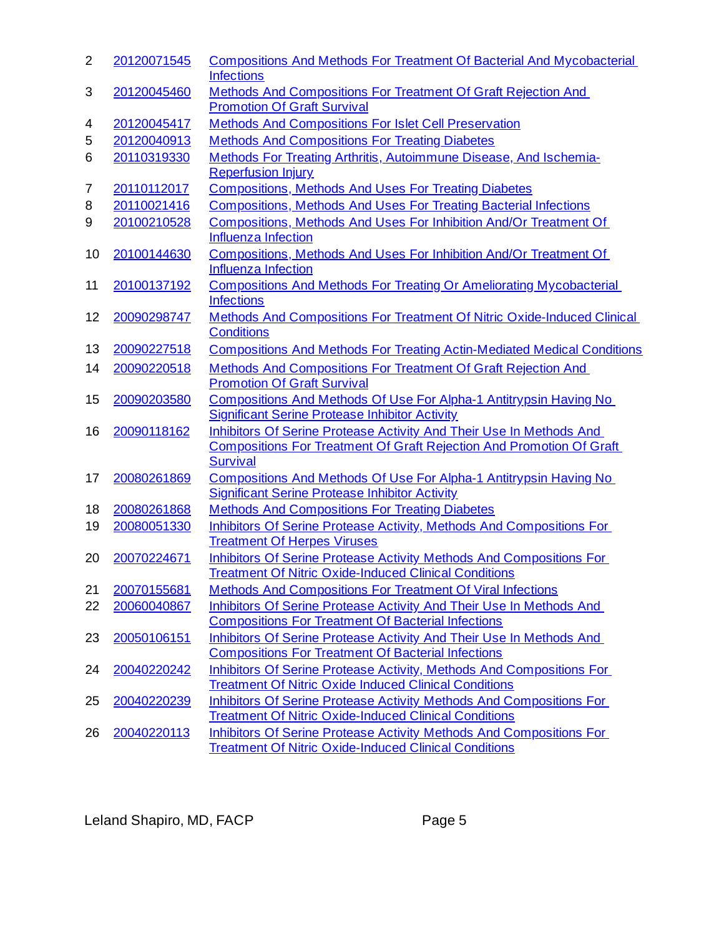| $\overline{2}$ | 20120071545 | <b>Compositions And Methods For Treatment Of Bacterial And Mycobacterial</b><br><b>Infections</b> |
|----------------|-------------|---------------------------------------------------------------------------------------------------|
| 3              | 20120045460 | Methods And Compositions For Treatment Of Graft Rejection And                                     |
|                |             | <b>Promotion Of Graft Survival</b>                                                                |
| 4              | 20120045417 | <b>Methods And Compositions For Islet Cell Preservation</b>                                       |
| 5              | 20120040913 | <b>Methods And Compositions For Treating Diabetes</b>                                             |
| 6              | 20110319330 | Methods For Treating Arthritis, Autoimmune Disease, And Ischemia-<br><b>Reperfusion Injury</b>    |
| 7              | 20110112017 | <b>Compositions, Methods And Uses For Treating Diabetes</b>                                       |
| 8              | 20110021416 | <b>Compositions, Methods And Uses For Treating Bacterial Infections</b>                           |
| 9              | 20100210528 | Compositions, Methods And Uses For Inhibition And/Or Treatment Of                                 |
|                |             | <b>Influenza Infection</b>                                                                        |
| 10             | 20100144630 | Compositions, Methods And Uses For Inhibition And/Or Treatment Of                                 |
|                |             | Influenza Infection                                                                               |
| 11             | 20100137192 | <b>Compositions And Methods For Treating Or Ameliorating Mycobacterial</b><br><b>Infections</b>   |
| 12             | 20090298747 | Methods And Compositions For Treatment Of Nitric Oxide-Induced Clinical<br><b>Conditions</b>      |
| 13             | 20090227518 | <b>Compositions And Methods For Treating Actin-Mediated Medical Conditions</b>                    |
| 14             | 20090220518 | <b>Methods And Compositions For Treatment Of Graft Rejection And</b>                              |
|                |             | <b>Promotion Of Graft Survival</b>                                                                |
| 15             | 20090203580 | Compositions And Methods Of Use For Alpha-1 Antitrypsin Having No                                 |
|                |             | <b>Significant Serine Protease Inhibitor Activity</b>                                             |
| 16             | 20090118162 | Inhibitors Of Serine Protease Activity And Their Use In Methods And                               |
|                |             | <b>Compositions For Treatment Of Graft Rejection And Promotion Of Graft</b><br><b>Survival</b>    |
| 17             | 20080261869 | Compositions And Methods Of Use For Alpha-1 Antitrypsin Having No                                 |
|                |             | <b>Significant Serine Protease Inhibitor Activity</b>                                             |
| 18             | 20080261868 | <b>Methods And Compositions For Treating Diabetes</b>                                             |
| 19             | 20080051330 | Inhibitors Of Serine Protease Activity, Methods And Compositions For                              |
|                |             | <b>Treatment Of Herpes Viruses</b>                                                                |
| 20             | 20070224671 | Inhibitors Of Serine Protease Activity Methods And Compositions For                               |
|                |             | <b>Treatment Of Nitric Oxide-Induced Clinical Conditions</b>                                      |
| 21             | 20070155681 | <b>Methods And Compositions For Treatment Of Viral Infections</b>                                 |
| 22             | 20060040867 | Inhibitors Of Serine Protease Activity And Their Use In Methods And                               |
|                |             | <b>Compositions For Treatment Of Bacterial Infections</b>                                         |
| 23             | 20050106151 | Inhibitors Of Serine Protease Activity And Their Use In Methods And                               |
|                |             | <b>Compositions For Treatment Of Bacterial Infections</b>                                         |
| 24             | 20040220242 | <b>Inhibitors Of Serine Protease Activity, Methods And Compositions For</b>                       |
|                |             | <b>Treatment Of Nitric Oxide Induced Clinical Conditions</b>                                      |
| 25             | 20040220239 | <b>Inhibitors Of Serine Protease Activity Methods And Compositions For</b>                        |
|                |             | <b>Treatment Of Nitric Oxide-Induced Clinical Conditions</b>                                      |
| 26             | 20040220113 | <b>Inhibitors Of Serine Protease Activity Methods And Compositions For</b>                        |
|                |             | <b>Treatment Of Nitric Oxide-Induced Clinical Conditions</b>                                      |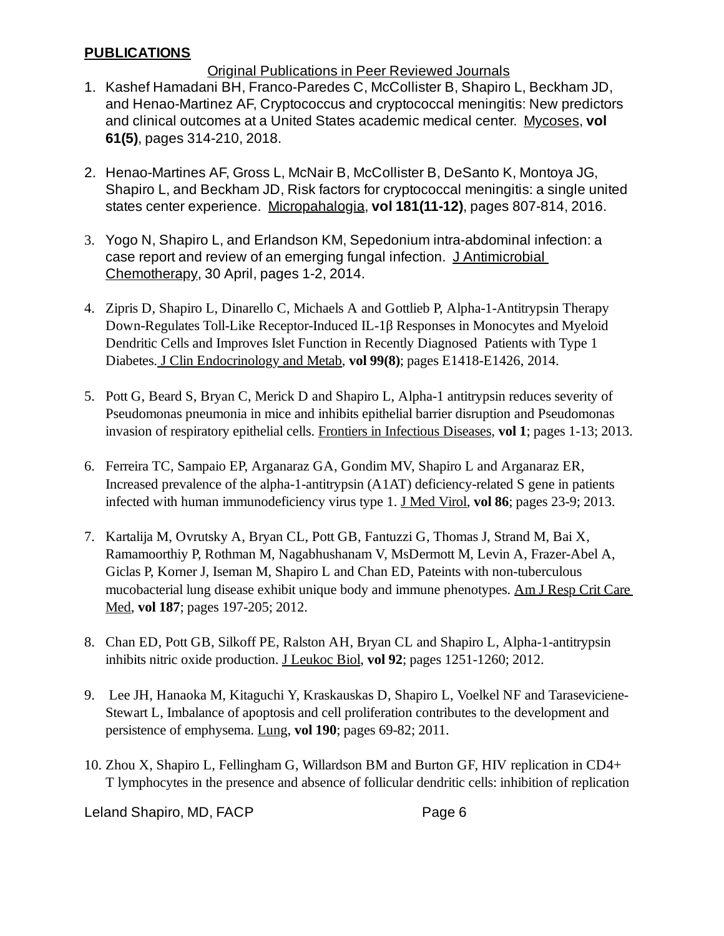#### **PUBLICATIONS**

#### Original Publications in Peer Reviewed Journals

- 1. Kashef Hamadani BH, Franco-Paredes C, McCollister B, Shapiro L, Beckham JD, and Henao-Martinez AF, Cryptococcus and cryptococcal meningitis: New predictors and clinical outcomes at a United States academic medical center. Mycoses, **vol 61(5)**, pages 314-210, 2018.
- 2. Henao-Martines AF, Gross L, McNair B, McCollister B, DeSanto K, Montoya JG, Shapiro L, and Beckham JD, Risk factors for cryptococcal meningitis: a single united states center experience. Micropahalogia, **vol 181(11-12)**, pages 807-814, 2016.
- 3. Yogo N, Shapiro L, and Erlandson KM, Sepedonium intra-abdominal infection: a case report and review of an emerging fungal infection. J Antimicrobial Chemotherapy, 30 April, pages 1-2, 2014.
- 4. Zipris D, Shapiro L, Dinarello C, Michaels A and Gottlieb P, Alpha-1-Antitrypsin Therapy Down-Regulates Toll-Like Receptor-Induced IL-1β Responses in Monocytes and Myeloid Dendritic Cells and Improves Islet Function in Recently Diagnosed Patients with Type 1 Diabetes. J Clin Endocrinology and Metab, **vol 99(8)**; pages E1418-E1426, 2014.
- 5. Pott G, Beard S, Bryan C, Merick D and Shapiro L, Alpha-1 antitrypsin reduces severity of Pseudomonas pneumonia in mice and inhibits epithelial barrier disruption and Pseudomonas invasion of respiratory epithelial cells. Frontiers in Infectious Diseases, **vol 1**; pages 1-13; 2013.
- Ferreira TC, Sampaio EP, Arganaraz GA, Gondim MV, Shapiro L and Arganaraz ER, 6. Increased prevalence of the alpha-1-antitrypsin (A1AT) deficiency-related S gene in patients infected with human immunodeficiency virus type 1. J Med Virol, **vol 86**; pages 23-9; 2013.
- 7. Kartalija M, Ovrutsky A, Bryan CL, Pott GB, Fantuzzi G, Thomas J, Strand M, Bai X, Ramamoorthiy P, Rothman M, Nagabhushanam V, MsDermott M, Levin A, Frazer-Abel A, Giclas P, Korner J, Iseman M, Shapiro L and Chan ED, Pateints with non-tuberculous mucobacterial lung disease exhibit unique body and immune phenotypes. Am J Resp Crit Care Med, **vol 187**; pages 197-205; 2012.
- Chan ED, Pott GB, Silkoff PE, Ralston AH, Bryan CL and Shapiro L, Alpha-1-antitrypsin 8. inhibits nitric oxide production. J Leukoc Biol, **vol 92**; pages 1251-1260; 2012.
- Lee JH, Hanaoka M, Kitaguchi Y, Kraskauskas D, Shapiro L, Voelkel NF and Taraseviciene-9. Stewart L, Imbalance of apoptosis and cell proliferation contributes to the development and persistence of emphysema. Lung, **vol 190**; pages 69-82; 2011.
- 10. Zhou X, Shapiro L, Fellingham G, Willardson BM and Burton GF, HIV replication in CD4+ T lymphocytes in the presence and absence of follicular dendritic cells: inhibition of replication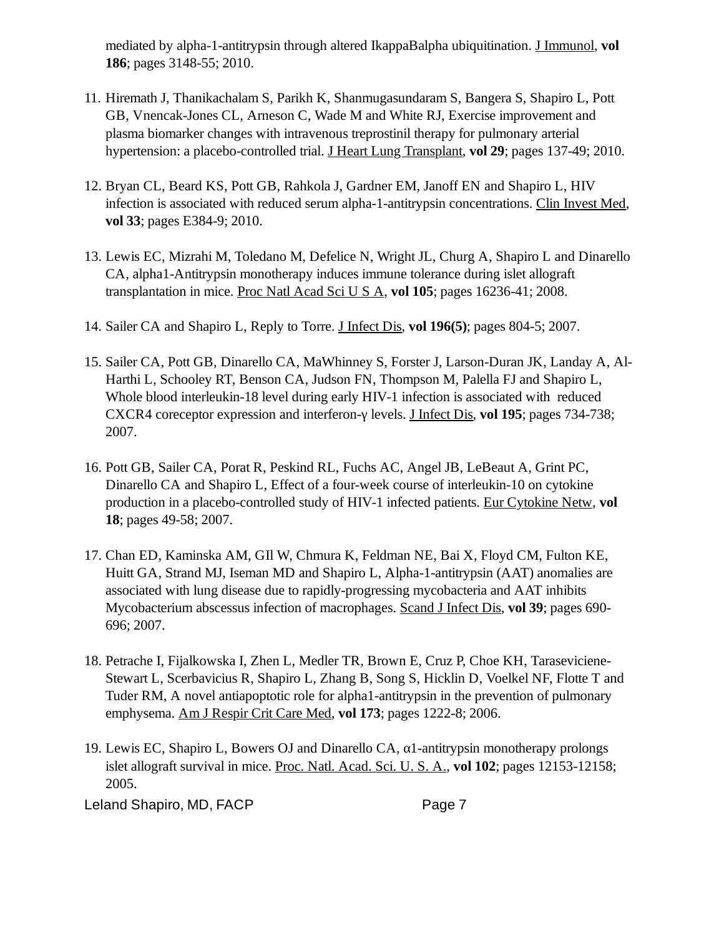mediated by alpha-1-antitrypsin through altered IkappaBalpha ubiquitination. J Immunol, **vol 186**; pages 3148-55; 2010.

- 11. Hiremath J, Thanikachalam S, Parikh K, Shanmugasundaram S, Bangera S, Shapiro L, Pott GB, Vnencak-Jones CL, Arneson C, Wade M and White RJ, Exercise improvement and plasma biomarker changes with intravenous treprostinil therapy for pulmonary arterial hypertension: a placebo-controlled trial. J Heart Lung Transplant, **vol 29**; pages 137-49; 2010.
- 12. Bryan CL, Beard KS, Pott GB, Rahkola J, Gardner EM, Janoff EN and Shapiro L, HIV infection is associated with reduced serum alpha-1-antitrypsin concentrations. Clin Invest Med, **vol 33**; pages E384-9; 2010.
- 13. Lewis EC, Mizrahi M, Toledano M, Defelice N, Wright JL, Churg A, Shapiro L and Dinarello CA, alpha1-Antitrypsin monotherapy induces immune tolerance during islet allograft transplantation in mice. Proc Natl Acad Sci U S A, **vol 105**; pages 16236-41; 2008.
- 14. Sailer CA and Shapiro L, Reply to Torre. J Infect Dis, **vol 196(5)**; pages 804-5; 2007.
- 15. Sailer CA, Pott GB, Dinarello CA, MaWhinney S, Forster J, Larson-Duran JK, Landay A, Al-Harthi L, Schooley RT, Benson CA, Judson FN, Thompson M, Palella FJ and Shapiro L, Whole blood interleukin-18 level during early HIV-1 infection is associated with reduced CXCR4 coreceptor expression and interferon-γ levels. J Infect Dis, **vol 195**; pages 734-738; 2007.
- 16. Pott GB, Sailer CA, Porat R, Peskind RL, Fuchs AC, Angel JB, LeBeaut A, Grint PC, Dinarello CA and Shapiro L, Effect of a four-week course of interleukin-10 on cytokine production in a placebo-controlled study of HIV-1 infected patients. Eur Cytokine Netw, **vol 18**; pages 49-58; 2007.
- Chan ED, Kaminska AM, GIl W, Chmura K, Feldman NE, Bai X, Floyd CM, Fulton KE, 17. Huitt GA, Strand MJ, Iseman MD and Shapiro L, Alpha-1-antitrypsin (AAT) anomalies are associated with lung disease due to rapidly-progressing mycobacteria and AAT inhibits Mycobacterium abscessus infection of macrophages. Scand J Infect Dis, **vol 39**; pages 690- 696; 2007.
- 18. Petrache I, Fijalkowska I, Zhen L, Medler TR, Brown E, Cruz P, Choe KH, Taraseviciene-Stewart L, Scerbavicius R, Shapiro L, Zhang B, Song S, Hicklin D, Voelkel NF, Flotte T and Tuder RM, A novel antiapoptotic role for alpha1-antitrypsin in the prevention of pulmonary emphysema. Am J Respir Crit Care Med, **vol 173**; pages 1222-8; 2006.
- Lewis EC, Shapiro L, Bowers OJ and Dinarello CA, α1-antitrypsin monotherapy prolongs 19. islet allograft survival in mice. Proc. Natl. Acad. Sci. U. S. A., **vol 102**; pages 12153-12158; 2005.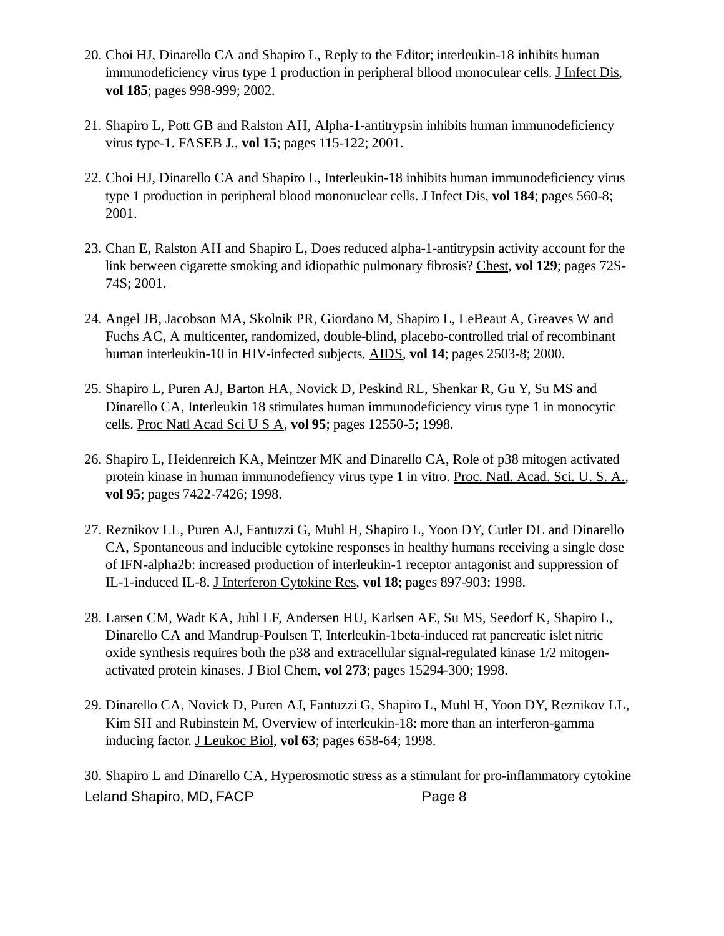- 20. Choi HJ, Dinarello CA and Shapiro L, Reply to the Editor; interleukin-18 inhibits human immunodeficiency virus type 1 production in peripheral bllood monoculear cells. J Infect Dis, **vol 185**; pages 998-999; 2002.
- 21. Shapiro L, Pott GB and Ralston AH, Alpha-1-antitrypsin inhibits human immunodeficiency virus type-1. FASEB J., **vol 15**; pages 115-122; 2001.
- 22. Choi HJ, Dinarello CA and Shapiro L, Interleukin-18 inhibits human immunodeficiency virus type 1 production in peripheral blood mononuclear cells. J Infect Dis, **vol 184**; pages 560-8; 2001.
- 23. Chan E, Ralston AH and Shapiro L, Does reduced alpha-1-antitrypsin activity account for the link between cigarette smoking and idiopathic pulmonary fibrosis? Chest, **vol 129**; pages 72S-74S; 2001.
- 24. Angel JB, Jacobson MA, Skolnik PR, Giordano M, Shapiro L, LeBeaut A, Greaves W and Fuchs AC, A multicenter, randomized, double-blind, placebo-controlled trial of recombinant human interleukin-10 in HIV-infected subjects. AIDS, **vol 14**; pages 2503-8; 2000.
- 25. Shapiro L, Puren AJ, Barton HA, Novick D, Peskind RL, Shenkar R, Gu Y, Su MS and Dinarello CA, Interleukin 18 stimulates human immunodeficiency virus type 1 in monocytic cells. Proc Natl Acad Sci U S A, **vol 95**; pages 12550-5; 1998.
- 26. Shapiro L, Heidenreich KA, Meintzer MK and Dinarello CA, Role of p38 mitogen activated protein kinase in human immunodefiency virus type 1 in vitro. Proc. Natl. Acad. Sci. U. S. A., **vol 95**; pages 7422-7426; 1998.
- 27. Reznikov LL, Puren AJ, Fantuzzi G, Muhl H, Shapiro L, Yoon DY, Cutler DL and Dinarello CA, Spontaneous and inducible cytokine responses in healthy humans receiving a single dose of IFN-alpha2b: increased production of interleukin-1 receptor antagonist and suppression of IL-1-induced IL-8. J Interferon Cytokine Res, **vol 18**; pages 897-903; 1998.
- Larsen CM, Wadt KA, Juhl LF, Andersen HU, Karlsen AE, Su MS, Seedorf K, Shapiro L, 28. Dinarello CA and Mandrup-Poulsen T, Interleukin-1beta-induced rat pancreatic islet nitric oxide synthesis requires both the p38 and extracellular signal-regulated kinase 1/2 mitogenactivated protein kinases. J Biol Chem, **vol 273**; pages 15294-300; 1998.
- 29. Dinarello CA, Novick D, Puren AJ, Fantuzzi G, Shapiro L, Muhl H, Yoon DY, Reznikov LL, Kim SH and Rubinstein M, Overview of interleukin-18: more than an interferon-gamma inducing factor. J Leukoc Biol, **vol 63**; pages 658-64; 1998.

30. Shapiro L and Dinarello CA, Hyperosmotic stress as a stimulant for pro-inflammatory cytokine Leland Shapiro, MD, FACP Page 8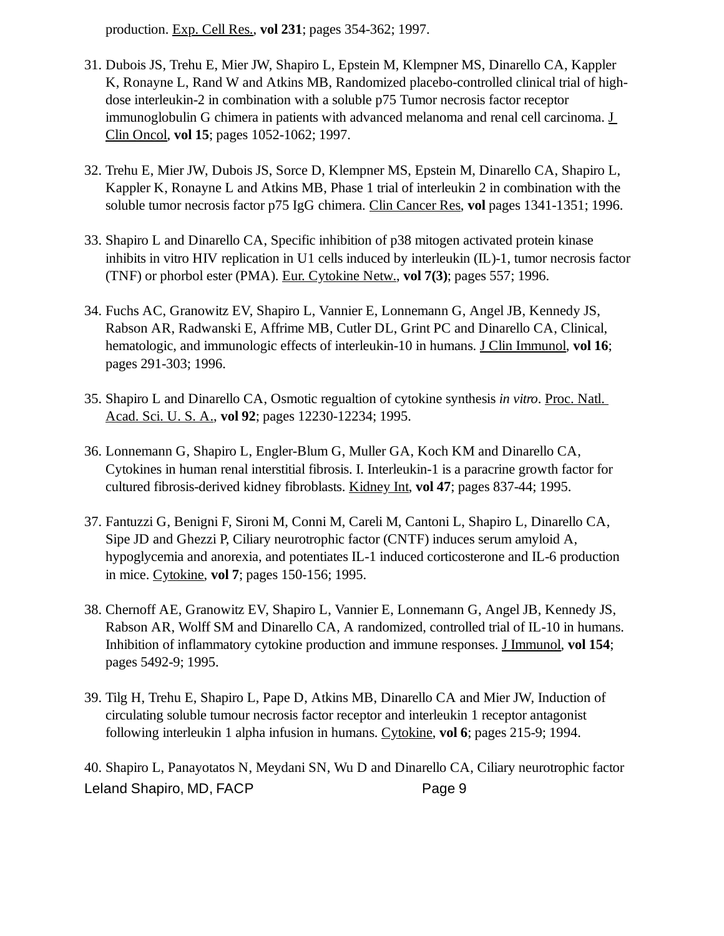production. Exp. Cell Res., **vol 231**; pages 354-362; 1997.

- 31. Dubois JS, Trehu E, Mier JW, Shapiro L, Epstein M, Klempner MS, Dinarello CA, Kappler K, Ronayne L, Rand W and Atkins MB, Randomized placebo-controlled clinical trial of highdose interleukin-2 in combination with a soluble p75 Tumor necrosis factor receptor immunoglobulin G chimera in patients with advanced melanoma and renal cell carcinoma. J Clin Oncol, **vol 15**; pages 1052-1062; 1997.
- 32. Trehu E, Mier JW, Dubois JS, Sorce D, Klempner MS, Epstein M, Dinarello CA, Shapiro L, Kappler K, Ronayne L and Atkins MB, Phase 1 trial of interleukin 2 in combination with the soluble tumor necrosis factor p75 IgG chimera. Clin Cancer Res, **vol** pages 1341-1351; 1996.
- Shapiro L and Dinarello CA, Specific inhibition of p38 mitogen activated protein kinase 33. inhibits in vitro HIV replication in U1 cells induced by interleukin (IL)-1, tumor necrosis factor (TNF) or phorbol ester (PMA). Eur. Cytokine Netw., **vol 7(3)**; pages 557; 1996.
- Fuchs AC, Granowitz EV, Shapiro L, Vannier E, Lonnemann G, Angel JB, Kennedy JS, 34. Rabson AR, Radwanski E, Affrime MB, Cutler DL, Grint PC and Dinarello CA, Clinical, hematologic, and immunologic effects of interleukin-10 in humans. J Clin Immunol, **vol 16**; pages 291-303; 1996.
- 35. Shapiro L and Dinarello CA, Osmotic regualtion of cytokine synthesis *in vitro*. Proc. Natl. Acad. Sci. U. S. A., **vol 92**; pages 12230-12234; 1995.
- 36. Lonnemann G, Shapiro L, Engler-Blum G, Muller GA, Koch KM and Dinarello CA, Cytokines in human renal interstitial fibrosis. I. Interleukin-1 is a paracrine growth factor for cultured fibrosis-derived kidney fibroblasts. Kidney Int, **vol 47**; pages 837-44; 1995.
- 37. Fantuzzi G, Benigni F, Sironi M, Conni M, Careli M, Cantoni L, Shapiro L, Dinarello CA, Sipe JD and Ghezzi P, Ciliary neurotrophic factor (CNTF) induces serum amyloid A, hypoglycemia and anorexia, and potentiates IL-1 induced corticosterone and IL-6 production in mice. Cytokine, **vol 7**; pages 150-156; 1995.
- 38. Chernoff AE, Granowitz EV, Shapiro L, Vannier E, Lonnemann G, Angel JB, Kennedy JS, Rabson AR, Wolff SM and Dinarello CA, A randomized, controlled trial of IL-10 in humans. Inhibition of inflammatory cytokine production and immune responses. J Immunol, **vol 154**; pages 5492-9; 1995.
- 39. Tilg H, Trehu E, Shapiro L, Pape D, Atkins MB, Dinarello CA and Mier JW, Induction of circulating soluble tumour necrosis factor receptor and interleukin 1 receptor antagonist following interleukin 1 alpha infusion in humans. Cytokine, **vol 6**; pages 215-9; 1994.

40. Shapiro L, Panayotatos N, Meydani SN, Wu D and Dinarello CA, Ciliary neurotrophic factor Leland Shapiro, MD, FACP Page 9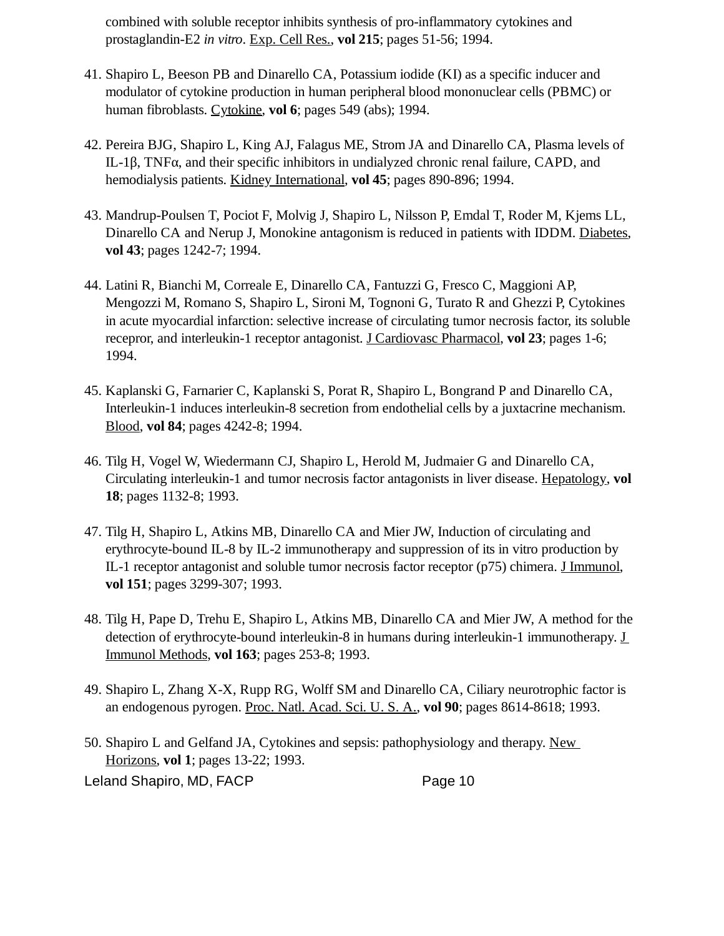combined with soluble receptor inhibits synthesis of pro-inflammatory cytokines and prostaglandin-E2 *in vitro*. Exp. Cell Res., **vol 215**; pages 51-56; 1994.

- 41. Shapiro L, Beeson PB and Dinarello CA, Potassium iodide (KI) as a specific inducer and modulator of cytokine production in human peripheral blood mononuclear cells (PBMC) or human fibroblasts. Cytokine, **vol 6**; pages 549 (abs); 1994.
- 42. Pereira BJG, Shapiro L, King AJ, Falagus ME, Strom JA and Dinarello CA, Plasma levels of IL-1β, TNFα, and their specific inhibitors in undialyzed chronic renal failure, CAPD, and hemodialysis patients. Kidney International, **vol 45**; pages 890-896; 1994.
- 43. Mandrup-Poulsen T, Pociot F, Molvig J, Shapiro L, Nilsson P, Emdal T, Roder M, Kjems LL, Dinarello CA and Nerup J, Monokine antagonism is reduced in patients with IDDM. Diabetes, **vol 43**; pages 1242-7; 1994.
- Latini R, Bianchi M, Correale E, Dinarello CA, Fantuzzi G, Fresco C, Maggioni AP, 44. Mengozzi M, Romano S, Shapiro L, Sironi M, Tognoni G, Turato R and Ghezzi P, Cytokines in acute myocardial infarction: selective increase of circulating tumor necrosis factor, its soluble recepror, and interleukin-1 receptor antagonist. J Cardiovasc Pharmacol, **vol 23**; pages 1-6; 1994.
- 45. Kaplanski G, Farnarier C, Kaplanski S, Porat R, Shapiro L, Bongrand P and Dinarello CA, Interleukin-1 induces interleukin-8 secretion from endothelial cells by a juxtacrine mechanism. Blood, **vol 84**; pages 4242-8; 1994.
- 46. Tilg H, Vogel W, Wiedermann CJ, Shapiro L, Herold M, Judmaier G and Dinarello CA, Circulating interleukin-1 and tumor necrosis factor antagonists in liver disease. Hepatology, **vol 18**; pages 1132-8; 1993.
- 47. Tilg H, Shapiro L, Atkins MB, Dinarello CA and Mier JW, Induction of circulating and erythrocyte-bound IL-8 by IL-2 immunotherapy and suppression of its in vitro production by IL-1 receptor antagonist and soluble tumor necrosis factor receptor (p75) chimera. J Immunol, **vol 151**; pages 3299-307; 1993.
- Tilg H, Pape D, Trehu E, Shapiro L, Atkins MB, Dinarello CA and Mier JW, A method for the 48. detection of erythrocyte-bound interleukin-8 in humans during interleukin-1 immunotherapy. J Immunol Methods, **vol 163**; pages 253-8; 1993.
- 49. Shapiro L, Zhang X-X, Rupp RG, Wolff SM and Dinarello CA, Ciliary neurotrophic factor is an endogenous pyrogen. Proc. Natl. Acad. Sci. U. S. A., **vol 90**; pages 8614-8618; 1993.

50. Shapiro L and Gelfand JA, Cytokines and sepsis: pathophysiology and therapy. New Horizons, **vol 1**; pages 13-22; 1993. Leland Shapiro, MD, FACP Page 10